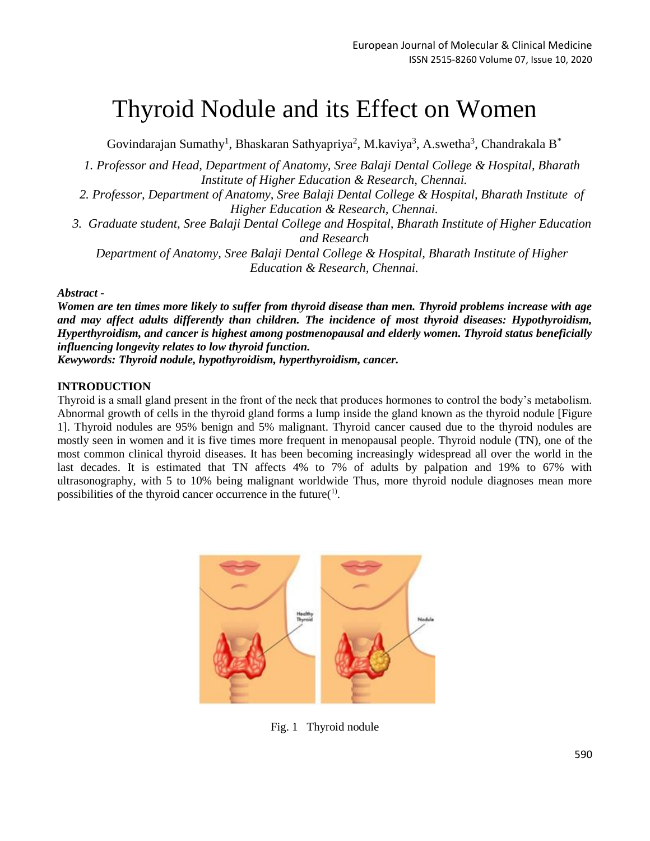# Thyroid Nodule and its Effect on Women

Govindarajan Sumathy<sup>1</sup>, Bhaskaran Sathyapriya<sup>2</sup>, M.kaviya<sup>3</sup>, A.swetha<sup>3</sup>, Chandrakala B<sup>\*</sup>

*1. Professor and Head, Department of Anatomy, Sree Balaji Dental College & Hospital, Bharath Institute of Higher Education & Research, Chennai.*

*2. Professor, Department of Anatomy, Sree Balaji Dental College & Hospital, Bharath Institute of Higher Education & Research, Chennai.*

*3. Graduate student, Sree Balaji Dental College and Hospital, Bharath Institute of Higher Education and Research*

*Department of Anatomy, Sree Balaji Dental College & Hospital, Bharath Institute of Higher Education & Research, Chennai.*

#### *Abstract -*

*Women are ten times more likely to suffer from thyroid disease than men. Thyroid problems increase with age and may affect adults differently than children. The incidence of most thyroid diseases: Hypothyroidism, Hyperthyroidism, and cancer is highest among postmenopausal and elderly women. Thyroid status beneficially influencing longevity relates to low thyroid function.*

*Kewywords: Thyroid nodule, hypothyroidism, hyperthyroidism, cancer.*

## **INTRODUCTION**

Thyroid is a small gland present in the front of the neck that produces hormones to control the body's metabolism. Abnormal growth of cells in the thyroid gland forms a lump inside the gland known as the thyroid nodule [Figure 1]. Thyroid nodules are 95% benign and 5% malignant. Thyroid cancer caused due to the thyroid nodules are mostly seen in women and it is five times more frequent in menopausal people. Thyroid nodule (TN), one of the most common clinical thyroid diseases. It has been becoming increasingly widespread all over the world in the last decades. It is estimated that TN affects 4% to 7% of adults by palpation and 19% to 67% with ultrasonography, with 5 to 10% being malignant worldwide Thus, more thyroid nodule diagnoses mean more possibilities of the thyroid cancer occurrence in the future(1).



Fig. 1 Thyroid nodule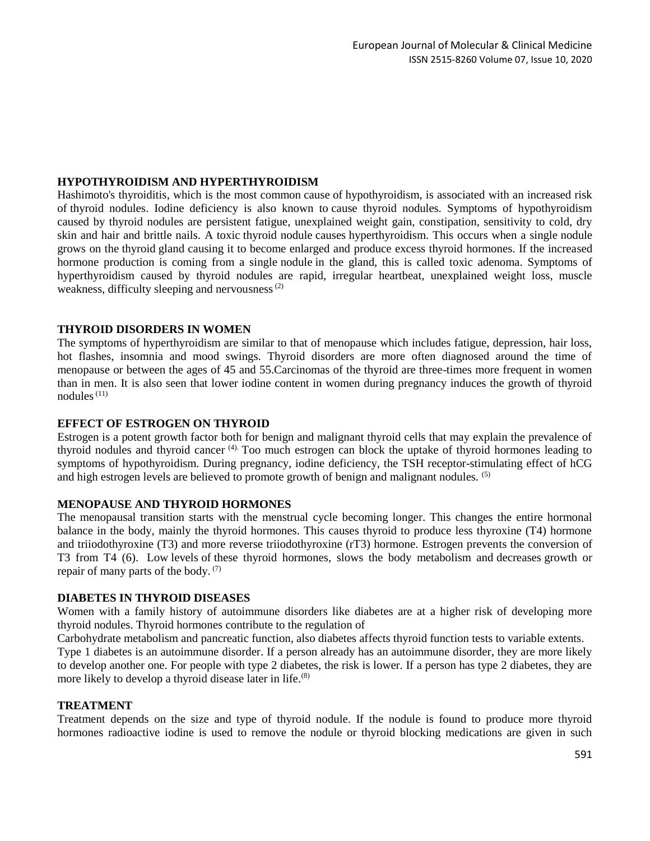# **HYPOTHYROIDISM AND HYPERTHYROIDISM**

Hashimoto's thyroiditis, which is the most common cause of hypothyroidism, is associated with an increased risk of thyroid nodules. Iodine deficiency is also known to cause thyroid nodules*.* Symptoms of hypothyroidism caused by thyroid nodules are persistent fatigue, unexplained weight gain, constipation, sensitivity to cold, dry skin and hair and brittle nails. A toxic thyroid nodule causes hyperthyroidism. This occurs when a single nodule grows on the thyroid gland causing it to become enlarged and produce excess thyroid hormones. If the increased hormone production is coming from a single nodule in the gland, this is called toxic adenoma. Symptoms of hyperthyroidism caused by thyroid nodules are rapid, irregular heartbeat, unexplained weight loss, muscle weakness, difficulty sleeping and nervousness $(2)$ 

## **THYROID DISORDERS IN WOMEN**

The symptoms of hyperthyroidism are similar to that of menopause which includes fatigue, depression, hair loss, hot flashes, insomnia and mood swings. Thyroid disorders are more often diagnosed around the time of menopause or between the ages of 45 and 55.Carcinomas of the thyroid are three-times more frequent in women than in men. It is also seen that lower iodine content in women during pregnancy induces the growth of thyroid nodules $(11)$ 

## **EFFECT OF ESTROGEN ON THYROID**

Estrogen is a potent growth factor both for benign and malignant thyroid cells that may explain the prevalence of thyroid nodules and thyroid cancer (4). Too much estrogen can block the uptake of thyroid hormones leading to symptoms of hypothyroidism. During pregnancy, iodine deficiency, the TSH receptor-stimulating effect of hCG and high estrogen levels are believed to promote growth of benign and malignant nodules. (5)

## **MENOPAUSE AND THYROID HORMONES**

The menopausal transition starts with the menstrual cycle becoming longer. This changes the entire hormonal balance in the body, mainly the thyroid hormones. This causes thyroid to produce less thyroxine (T4) hormone and triiodothyroxine (T3) and more reverse triiodothyroxine (rT3) hormone. Estrogen prevents the conversion of T3 from T4 (6). Low levels of these thyroid hormones, slows the body metabolism and decreases growth or repair of many parts of the body.  $(7)$ 

## **DIABETES IN THYROID DISEASES**

Women with a family history of autoimmune disorders like diabetes are at a higher risk of developing more thyroid nodules. Thyroid hormones contribute to the regulation of

Carbohydrate metabolism and pancreatic function, also diabetes affects thyroid function tests to variable extents.

Type 1 diabetes is an autoimmune disorder. If a person already has an autoimmune disorder, they are more likely to develop another one. For people with type 2 diabetes, the risk is lower. If a person has type 2 diabetes, they are more likely to develop a thyroid disease later in life.<sup>(8)</sup>

#### **TREATMENT**

Treatment depends on the size and type of thyroid nodule. If the nodule is found to produce more thyroid hormones radioactive iodine is used to remove the nodule or thyroid blocking medications are given in such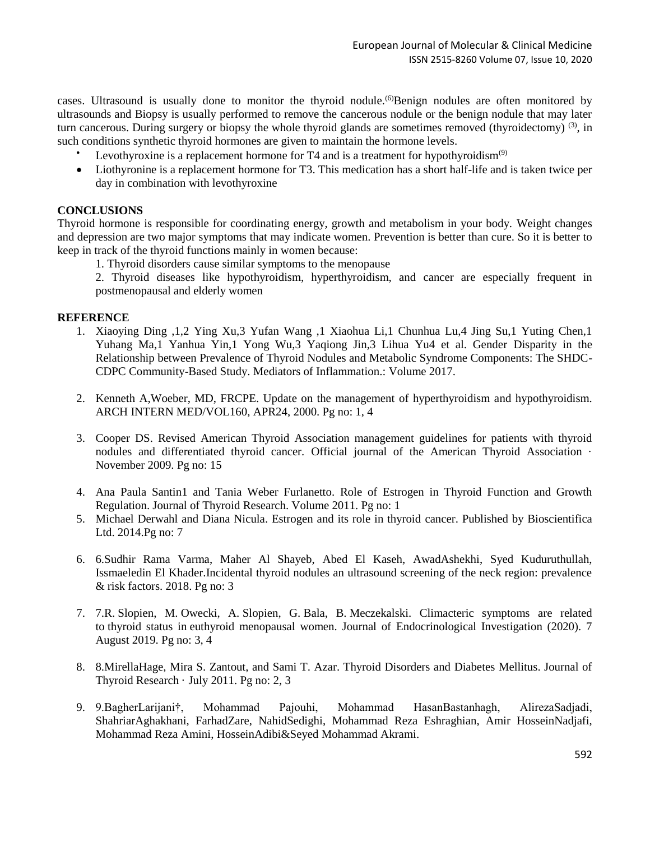cases. Ultrasound is usually done to monitor the thyroid nodule.<sup>(6)</sup>Benign nodules are often monitored by ultrasounds and Biopsy is usually performed to remove the cancerous nodule or the benign nodule that may later turn cancerous. During surgery or biopsy the whole thyroid glands are sometimes removed (thyroidectomy) <sup>(3)</sup>, in such conditions synthetic thyroid hormones are given to maintain the hormone levels.

- Levothyroxine is a replacement hormone for T4 and is a treatment for hypothyroidism $(9)$
- Liothyronine is a replacement hormone for T3. This medication has a short half-life and is taken twice per day in combination with levothyroxine

## **CONCLUSIONS**

Thyroid hormone is responsible for coordinating energy, growth and metabolism in your body. Weight changes and depression are two major symptoms that may indicate women. Prevention is better than cure. So it is better to keep in track of the thyroid functions mainly in women because:

1. Thyroid disorders cause similar symptoms to the menopause

2. Thyroid diseases like hypothyroidism, hyperthyroidism, and cancer are especially frequent in postmenopausal and elderly women

## **REFERENCE**

- 1. Xiaoying Ding ,1,2 Ying Xu,3 Yufan Wang ,1 Xiaohua Li,1 Chunhua Lu,4 Jing Su,1 Yuting Chen,1 Yuhang Ma,1 Yanhua Yin,1 Yong Wu,3 Yaqiong Jin,3 Lihua Yu4 et al. Gender Disparity in the Relationship between Prevalence of Thyroid Nodules and Metabolic Syndrome Components: The SHDC-CDPC Community-Based Study. Mediators of Inflammation.: Volume 2017.
- 2. Kenneth A,Woeber, MD, FRCPE. Update on the management of hyperthyroidism and hypothyroidism. ARCH INTERN MED/VOL160, APR24, 2000. Pg no: 1, 4
- 3. Cooper DS. Revised American Thyroid Association management guidelines for patients with thyroid nodules and differentiated thyroid cancer. Official journal of the American Thyroid Association · November 2009. Pg no: 15
- 4. Ana Paula Santin1 and Tania Weber Furlanetto. Role of Estrogen in Thyroid Function and Growth Regulation. Journal of Thyroid Research. Volume 2011. Pg no: 1
- 5. Michael Derwahl and Diana Nicula. Estrogen and its role in thyroid cancer. Published by Bioscientifica Ltd. 2014.Pg no: 7
- 6. 6.Sudhir Rama Varma, Maher Al Shayeb, Abed El Kaseh, AwadAshekhi, Syed Kuduruthullah, Issmaeledin El Khader.Incidental thyroid nodules an ultrasound screening of the neck region: prevalence & risk factors. 2018. Pg no: 3
- 7. 7.R. Slopien, M. Owecki, A. Slopien, G. Bala, B. Meczekalski. Climacteric symptoms are related to thyroid status in euthyroid menopausal women. Journal of Endocrinological Investigation (2020). 7 August 2019. Pg no: 3, 4
- 8. 8.MirellaHage, Mira S. Zantout, and Sami T. Azar. Thyroid Disorders and Diabetes Mellitus. Journal of Thyroid Research · July 2011. Pg no: 2, 3
- 9. 9.BagherLarijani†, Mohammad Pajouhi, Mohammad HasanBastanhagh, AlirezaSadjadi, ShahriarAghakhani, FarhadZare, NahidSedighi, Mohammad Reza Eshraghian, Amir HosseinNadjafi, Mohammad Reza Amini, HosseinAdibi&Seyed Mohammad Akrami.